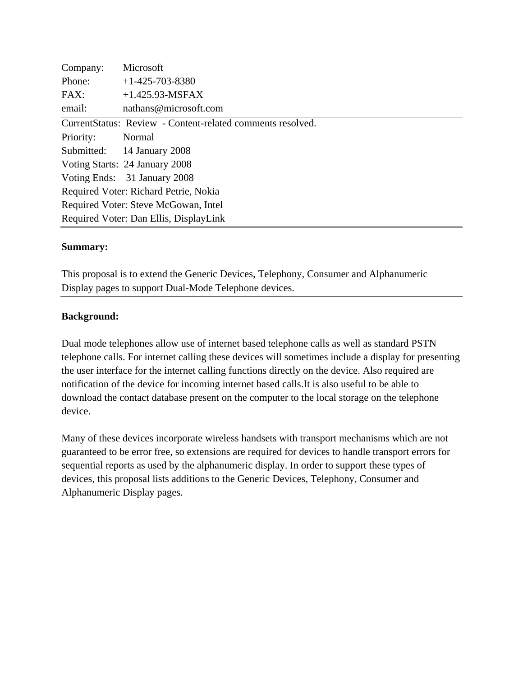| Company:                               | Microsoft                                                  |  |
|----------------------------------------|------------------------------------------------------------|--|
| Phone:                                 | $+1-425-703-8380$                                          |  |
| FAX:                                   | $+1.425.93-MSFAX$                                          |  |
| email:                                 | nathans@microsoft.com                                      |  |
|                                        | CurrentStatus: Review - Content-related comments resolved. |  |
| Priority:                              | Normal                                                     |  |
|                                        | Submitted: 14 January 2008                                 |  |
|                                        | Voting Starts: 24 January 2008                             |  |
|                                        | Voting Ends: 31 January 2008                               |  |
| Required Voter: Richard Petrie, Nokia  |                                                            |  |
| Required Voter: Steve McGowan, Intel   |                                                            |  |
| Required Voter: Dan Ellis, DisplayLink |                                                            |  |

### **Summary:**

This proposal is to extend the Generic Devices, Telephony, Consumer and Alphanumeric Display pages to support Dual-Mode Telephone devices.

#### **Background:**

Dual mode telephones allow use of internet based telephone calls as well as standard PSTN telephone calls. For internet calling these devices will sometimes include a display for presenting the user interface for the internet calling functions directly on the device. Also required are notification of the device for incoming internet based calls.It is also useful to be able to download the contact database present on the computer to the local storage on the telephone device.

Many of these devices incorporate wireless handsets with transport mechanisms which are not guaranteed to be error free, so extensions are required for devices to handle transport errors for sequential reports as used by the alphanumeric display. In order to support these types of devices, this proposal lists additions to the Generic Devices, Telephony, Consumer and Alphanumeric Display pages.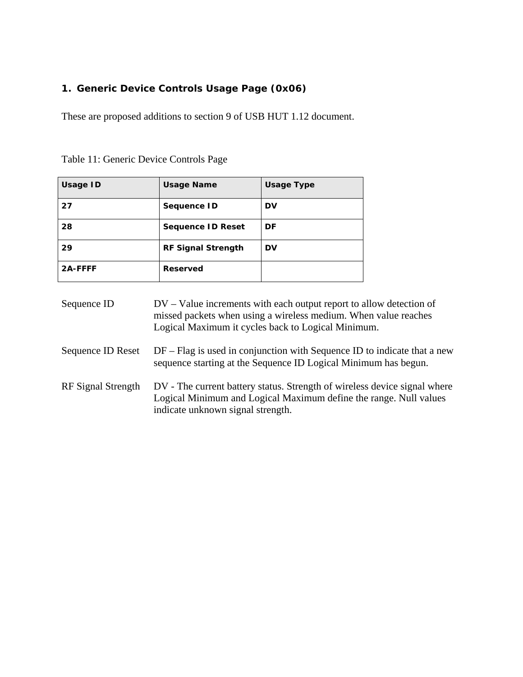### **1. Generic Device Controls Usage Page (0x06)**

These are proposed additions to section 9 of USB HUT 1.12 document.

| Usage ID | <b>Usage Name</b>         | <b>Usage Type</b> |
|----------|---------------------------|-------------------|
| 27       | Sequence ID               | DV                |
| 28       | <b>Sequence ID Reset</b>  | DF                |
| 29       | <b>RF Signal Strength</b> | DV                |
| 2A-FFFF  | Reserved                  |                   |

| Table 11: Generic Device Controls Page |
|----------------------------------------|
|----------------------------------------|

| Sequence ID | $DV - Value$ increments with each output report to allow detection of |
|-------------|-----------------------------------------------------------------------|
|             | missed packets when using a wireless medium. When value reaches       |
|             | Logical Maximum it cycles back to Logical Minimum.                    |
|             |                                                                       |

- Sequence ID Reset DF Flag is used in conjunction with Sequence ID to indicate that a new sequence starting at the Sequence ID Logical Minimum has begun.
- RF Signal Strength DV The current battery status. Strength of wireless device signal where Logical Minimum and Logical Maximum define the range. Null values indicate unknown signal strength.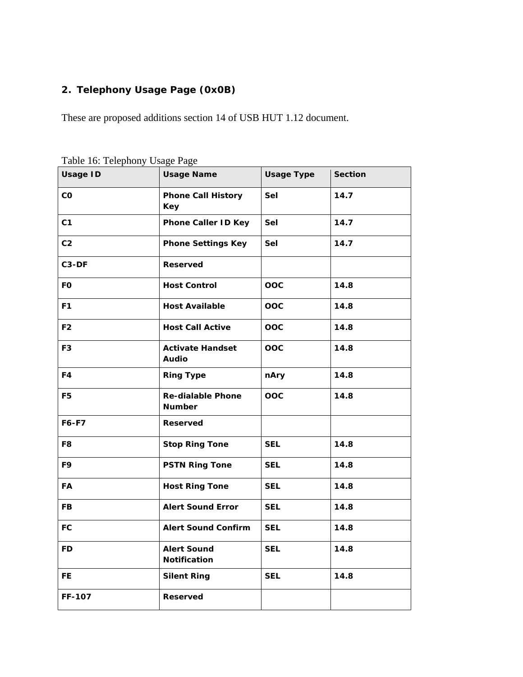## **2. Telephony Usage Page (0x0B)**

These are proposed additions section 14 of USB HUT 1.12 document.

|                 | $\sim$ $\sim$ $\sim$ $\sim$ $\sim$        |                   |                |
|-----------------|-------------------------------------------|-------------------|----------------|
| <b>Usage ID</b> | <b>Usage Name</b>                         | <b>Usage Type</b> | <b>Section</b> |
| co              | <b>Phone Call History</b><br><b>Key</b>   | <b>Sel</b>        | 14.7           |
| C <sub>1</sub>  | <b>Phone Caller ID Key</b>                | <b>Sel</b>        | 14.7           |
| C <sub>2</sub>  | <b>Phone Settings Key</b>                 | Sel               | 14.7           |
| C3-DF           | <b>Reserved</b>                           |                   |                |
| <b>FO</b>       | <b>Host Control</b>                       | OOC               | 14.8           |
| F <sub>1</sub>  | <b>Host Available</b>                     | <b>OOC</b>        | 14.8           |
| F <sub>2</sub>  | <b>Host Call Active</b>                   | OOC               | 14.8           |
| F <sub>3</sub>  | <b>Activate Handset</b><br><b>Audio</b>   | <b>OOC</b>        | 14.8           |
| F4              | <b>Ring Type</b>                          | nAry              | 14.8           |
| F <sub>5</sub>  | <b>Re-dialable Phone</b><br><b>Number</b> | OOC               | 14.8           |
| F6-F7           | <b>Reserved</b>                           |                   |                |
| F8              | <b>Stop Ring Tone</b>                     | <b>SEL</b>        | 14.8           |
| F9              | <b>PSTN Ring Tone</b>                     | <b>SEL</b>        | 14.8           |
| FA              | <b>Host Ring Tone</b>                     | <b>SEL</b>        | 14.8           |
| <b>FB</b>       | <b>Alert Sound Error</b>                  | <b>SEL</b>        | 14.8           |
| FC              | <b>Alert Sound Confirm</b>                | <b>SEL</b>        | 14.8           |
| <b>FD</b>       | <b>Alert Sound</b><br><b>Notification</b> | <b>SEL</b>        | 14.8           |
| FE.             | <b>Silent Ring</b>                        | <b>SEL</b>        | 14.8           |
| <b>FF-107</b>   | <b>Reserved</b>                           |                   |                |

Table 16: Telephony Usage Page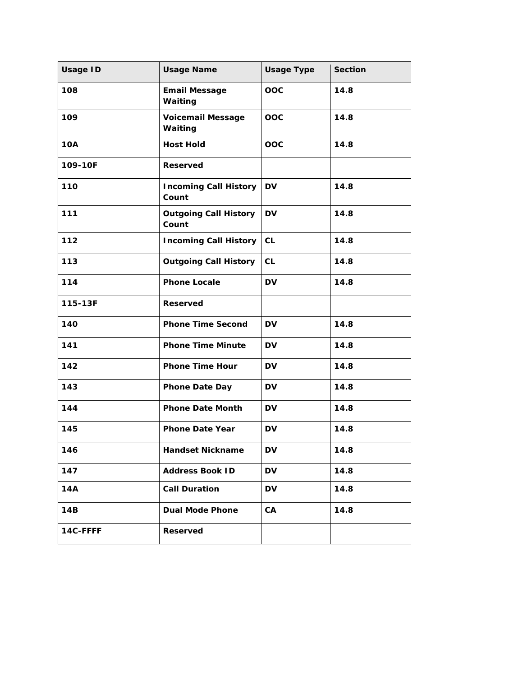| <b>Usage ID</b> | <b>Usage Name</b>                     | <b>Usage Type</b> | <b>Section</b> |
|-----------------|---------------------------------------|-------------------|----------------|
| 108             | <b>Email Message</b><br>Waiting       | OOC               | 14.8           |
| 109             | <b>Voicemail Message</b><br>Waiting   | OOC               | 14.8           |
| <b>10A</b>      | <b>Host Hold</b>                      | OOC               | 14.8           |
| 109-10F         | <b>Reserved</b>                       |                   |                |
| 110             | <b>Incoming Call History</b><br>Count | <b>DV</b>         | 14.8           |
| 111             | <b>Outgoing Call History</b><br>Count | <b>DV</b>         | 14.8           |
| 112             | <b>Incoming Call History</b>          | CL                | 14.8           |
| 113             | <b>Outgoing Call History</b>          | <b>CL</b>         | 14.8           |
| 114             | <b>Phone Locale</b>                   | <b>DV</b>         | 14.8           |
| 115-13F         | <b>Reserved</b>                       |                   |                |
| 140             | <b>Phone Time Second</b>              | <b>DV</b>         | 14.8           |
| 141             | <b>Phone Time Minute</b>              | <b>DV</b>         | 14.8           |
| 142             | <b>Phone Time Hour</b>                | <b>DV</b>         | 14.8           |
| 143             | <b>Phone Date Day</b>                 | <b>DV</b>         | 14.8           |
| 144             | <b>Phone Date Month</b>               | <b>DV</b>         | 14.8           |
| 145             | <b>Phone Date Year</b>                | <b>DV</b>         | 14.8           |
| 146             | <b>Handset Nickname</b>               | <b>DV</b>         | 14.8           |
| 147             | <b>Address Book ID</b>                | DV                | 14.8           |
| 14A             | <b>Call Duration</b>                  | <b>DV</b>         | 14.8           |
| 14B             | <b>Dual Mode Phone</b>                | CA                | 14.8           |
| 14C-FFFF        | Reserved                              |                   |                |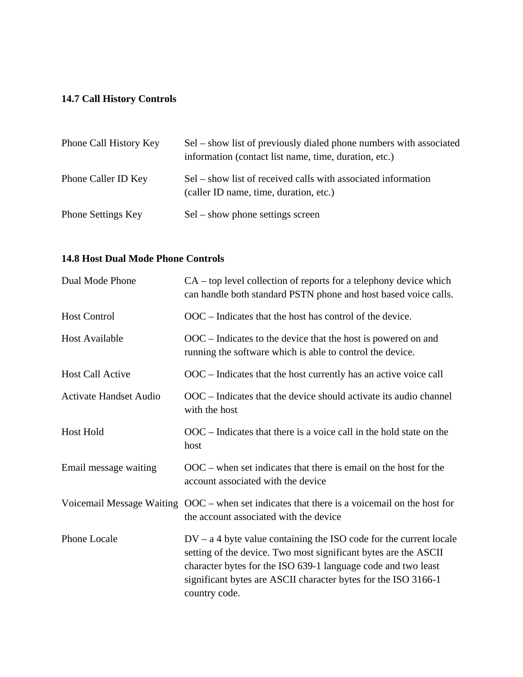## **14.7 Call History Controls**

| Phone Call History Key    | Sel – show list of previously dialed phone numbers with associated<br>information (contact list name, time, duration, etc.) |
|---------------------------|-----------------------------------------------------------------------------------------------------------------------------|
| Phone Caller ID Key       | Sel – show list of received calls with associated information<br>(caller ID name, time, duration, etc.)                     |
| <b>Phone Settings Key</b> | $Sel - show phone settings screen$                                                                                          |

## **14.8 Host Dual Mode Phone Controls**

| Dual Mode Phone               | $CA$ – top level collection of reports for a telephony device which<br>can handle both standard PSTN phone and host based voice calls.                                                                                                                                                      |
|-------------------------------|---------------------------------------------------------------------------------------------------------------------------------------------------------------------------------------------------------------------------------------------------------------------------------------------|
| <b>Host Control</b>           | $OOC$ – Indicates that the host has control of the device.                                                                                                                                                                                                                                  |
| Host Available                | $OOC$ – Indicates to the device that the host is powered on and<br>running the software which is able to control the device.                                                                                                                                                                |
| <b>Host Call Active</b>       | OOC – Indicates that the host currently has an active voice call                                                                                                                                                                                                                            |
| <b>Activate Handset Audio</b> | OOC – Indicates that the device should activate its audio channel<br>with the host                                                                                                                                                                                                          |
| Host Hold                     | $OOC$ – Indicates that there is a voice call in the hold state on the<br>host                                                                                                                                                                                                               |
| Email message waiting         | $OOC$ – when set indicates that there is email on the host for the<br>account associated with the device                                                                                                                                                                                    |
|                               | Voicemail Message Waiting OOC – when set indicates that there is a voicemail on the host for<br>the account associated with the device                                                                                                                                                      |
| <b>Phone Locale</b>           | $DV - a$ 4 byte value containing the ISO code for the current locale<br>setting of the device. Two most significant bytes are the ASCII<br>character bytes for the ISO 639-1 language code and two least<br>significant bytes are ASCII character bytes for the ISO 3166-1<br>country code. |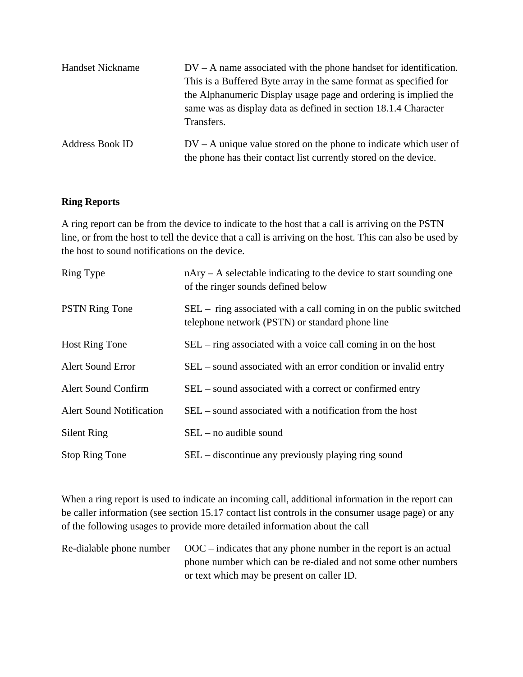| <b>Handset Nickname</b> | $DV - A$ name associated with the phone handset for identification. |  |
|-------------------------|---------------------------------------------------------------------|--|
|                         | This is a Buffered Byte array in the same format as specified for   |  |
|                         | the Alphanumeric Display usage page and ordering is implied the     |  |
|                         | same was as display data as defined in section 18.1.4 Character     |  |
|                         | Transfers.                                                          |  |
| <b>Address Book ID</b>  | $DV - A$ unique value stored on the phone to indicate which user of |  |
|                         | the phone has their contact list currently stored on the device.    |  |

#### **Ring Reports**

A ring report can be from the device to indicate to the host that a call is arriving on the PSTN line, or from the host to tell the device that a call is arriving on the host. This can also be used by the host to sound notifications on the device.

| Ring Type                       | $n$ Ary – A selectable indicating to the device to start sounding one<br>of the ringer sounds defined below           |
|---------------------------------|-----------------------------------------------------------------------------------------------------------------------|
| <b>PSTN Ring Tone</b>           | SEL – ring associated with a call coming in on the public switched<br>telephone network (PSTN) or standard phone line |
| <b>Host Ring Tone</b>           | $SEL$ – ring associated with a voice call coming in on the host                                                       |
| <b>Alert Sound Error</b>        | SEL – sound associated with an error condition or invalid entry                                                       |
| <b>Alert Sound Confirm</b>      | SEL – sound associated with a correct or confirmed entry                                                              |
| <b>Alert Sound Notification</b> | SEL – sound associated with a notification from the host                                                              |
| <b>Silent Ring</b>              | $SEL$ – no audible sound                                                                                              |
| <b>Stop Ring Tone</b>           | SEL – discontinue any previously playing ring sound                                                                   |

When a ring report is used to indicate an incoming call, additional information in the report can be caller information (see section 15.17 contact list controls in the consumer usage page) or any of the following usages to provide more detailed information about the call

| Re-dialable phone number $OOC$ - indicates that any phone number in the report is an actual |
|---------------------------------------------------------------------------------------------|
| phone number which can be re-dialed and not some other numbers                              |
| or text which may be present on caller ID.                                                  |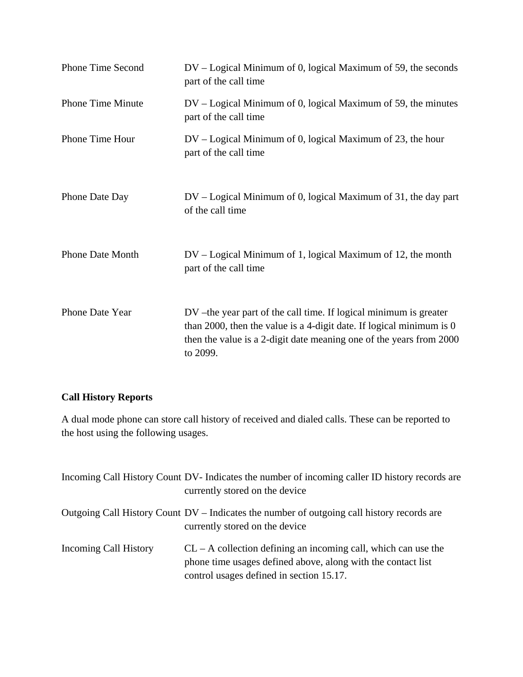| <b>Phone Time Second</b> | $DV - Logical Minimum of 0$ , logical Maximum of 59, the seconds<br>part of the call time                                                                                                                                       |
|--------------------------|---------------------------------------------------------------------------------------------------------------------------------------------------------------------------------------------------------------------------------|
| <b>Phone Time Minute</b> | $DV - Logical Minimum of 0$ , logical Maximum of 59, the minutes<br>part of the call time                                                                                                                                       |
| Phone Time Hour          | $DV - Logical Minimum of 0$ , logical Maximum of 23, the hour<br>part of the call time                                                                                                                                          |
| Phone Date Day           | $DV - Logical Minimum of 0$ , logical Maximum of 31, the day part<br>of the call time                                                                                                                                           |
| <b>Phone Date Month</b>  | DV – Logical Minimum of 1, logical Maximum of 12, the month<br>part of the call time                                                                                                                                            |
| Phone Date Year          | DV – the year part of the call time. If logical minimum is greater<br>than 2000, then the value is a 4-digit date. If logical minimum is $0$<br>then the value is a 2-digit date meaning one of the years from 2000<br>to 2099. |

# **Call History Reports**

A dual mode phone can store call history of received and dialed calls. These can be reported to the host using the following usages.

|                       | Incoming Call History Count DV- Indicates the number of incoming caller ID history records are<br>currently stored on the device                                             |
|-----------------------|------------------------------------------------------------------------------------------------------------------------------------------------------------------------------|
|                       | Outgoing Call History Count DV – Indicates the number of outgoing call history records are<br>currently stored on the device                                                 |
| Incoming Call History | $CL - A$ collection defining an incoming call, which can use the<br>phone time usages defined above, along with the contact list<br>control usages defined in section 15.17. |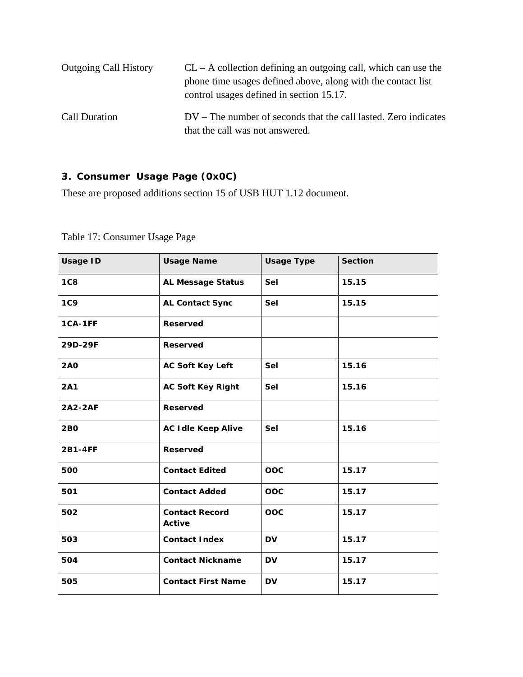| <b>Outgoing Call History</b> | $CL - A$ collection defining an outgoing call, which can use the<br>phone time usages defined above, along with the contact list<br>control usages defined in section 15.17. |
|------------------------------|------------------------------------------------------------------------------------------------------------------------------------------------------------------------------|
| Call Duration                | $DV$ – The number of seconds that the call lasted. Zero indicates<br>that the call was not answered.                                                                         |

# **3. Consumer Usage Page (0x0C)**

These are proposed additions section 15 of USB HUT 1.12 document.

| <b>Usage ID</b> | <b>Usage Name</b>                      | <b>Usage Type</b> | <b>Section</b> |
|-----------------|----------------------------------------|-------------------|----------------|
| 1C8             | <b>AL Message Status</b>               | Sel               | 15.15          |
| <b>1C9</b>      | <b>AL Contact Sync</b>                 | Sel               | 15.15          |
| 1CA-1FF         | <b>Reserved</b>                        |                   |                |
| 29D-29F         | <b>Reserved</b>                        |                   |                |
| <b>2AO</b>      | <b>AC Soft Key Left</b>                | Sel               | 15.16          |
| <b>2A1</b>      | <b>AC Soft Key Right</b>               | Sel               | 15.16          |
| <b>2A2-2AF</b>  | <b>Reserved</b>                        |                   |                |
| <b>2BO</b>      | <b>AC Idle Keep Alive</b>              | <b>Sel</b>        | 15.16          |
| 2B1-4FF         | <b>Reserved</b>                        |                   |                |
| 500             | <b>Contact Edited</b>                  | OOC               | 15.17          |
| 501             | <b>Contact Added</b>                   | OOC               | 15.17          |
| 502             | <b>Contact Record</b><br><b>Active</b> | OOC               | 15.17          |
| 503             | <b>Contact Index</b>                   | <b>DV</b>         | 15.17          |
| 504             | <b>Contact Nickname</b>                | <b>DV</b>         | 15.17          |
| 505             | <b>Contact First Name</b>              | <b>DV</b>         | 15.17          |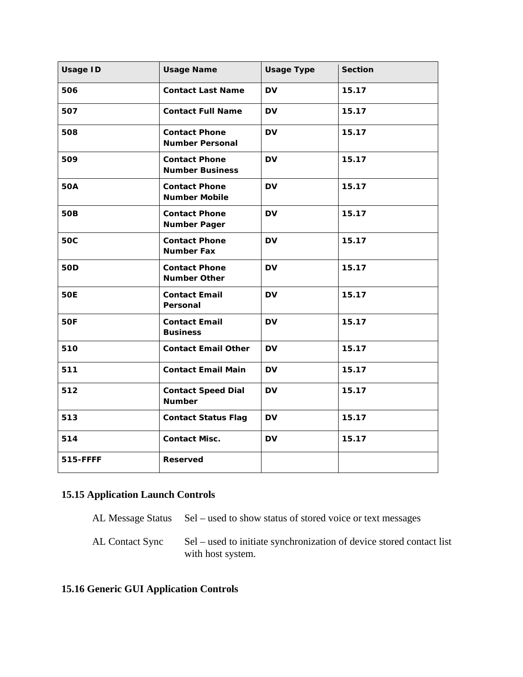| <b>Usage ID</b> | <b>Usage Name</b>                              | <b>Usage Type</b> | <b>Section</b> |
|-----------------|------------------------------------------------|-------------------|----------------|
| 506             | <b>Contact Last Name</b>                       | <b>DV</b>         | 15.17          |
| 507             | <b>Contact Full Name</b>                       | <b>DV</b>         | 15.17          |
| 508             | <b>Contact Phone</b><br><b>Number Personal</b> | <b>DV</b>         | 15.17          |
| 509             | <b>Contact Phone</b><br><b>Number Business</b> | <b>DV</b>         | 15.17          |
| <b>50A</b>      | <b>Contact Phone</b><br><b>Number Mobile</b>   | <b>DV</b>         | 15.17          |
| <b>50B</b>      | <b>Contact Phone</b><br><b>Number Pager</b>    | <b>DV</b>         | 15.17          |
| <b>50C</b>      | <b>Contact Phone</b><br><b>Number Fax</b>      | <b>DV</b>         | 15.17          |
| <b>50D</b>      | <b>Contact Phone</b><br><b>Number Other</b>    | <b>DV</b>         | 15.17          |
| <b>50E</b>      | <b>Contact Email</b><br>Personal               | <b>DV</b>         | 15.17          |
| 50F             | <b>Contact Email</b><br><b>Business</b>        | <b>DV</b>         | 15.17          |
| 510             | <b>Contact Email Other</b>                     | <b>DV</b>         | 15.17          |
| 511             | <b>Contact Email Main</b>                      | <b>DV</b>         | 15.17          |
| 512             | <b>Contact Speed Dial</b><br><b>Number</b>     | <b>DV</b>         | 15.17          |
| 513             | <b>Contact Status Flag</b>                     | <b>DV</b>         | 15.17          |
| 514             | <b>Contact Misc.</b>                           | <b>DV</b>         | 15.17          |
| 515-FFFF        | <b>Reserved</b>                                |                   |                |

## **15.15 Application Launch Controls**

AL Message Status Sel – used to show status of stored voice or text messages

AL Contact Sync Sel – used to initiate synchronization of device stored contact list with host system.

## **15.16 Generic GUI Application Controls**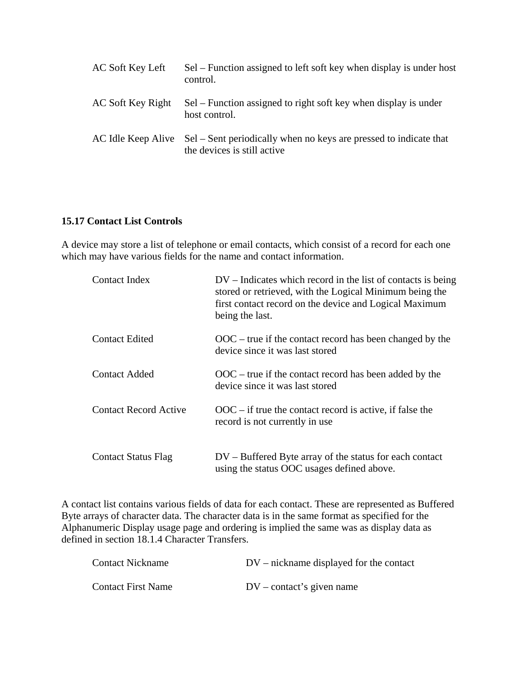| AC Soft Key Left  | Sel – Function assigned to left soft key when display is under host<br>control.                                     |
|-------------------|---------------------------------------------------------------------------------------------------------------------|
| AC Soft Key Right | Sel – Function assigned to right soft key when display is under<br>host control.                                    |
|                   | AC Idle Keep Alive Sel – Sent periodically when no keys are pressed to indicate that<br>the devices is still active |

#### **15.17 Contact List Controls**

A device may store a list of telephone or email contacts, which consist of a record for each one which may have various fields for the name and contact information.

| Contact Index                | $DV$ – Indicates which record in the list of contacts is being<br>stored or retrieved, with the Logical Minimum being the<br>first contact record on the device and Logical Maximum<br>being the last. |
|------------------------------|--------------------------------------------------------------------------------------------------------------------------------------------------------------------------------------------------------|
| <b>Contact Edited</b>        | $OOC$ – true if the contact record has been changed by the<br>device since it was last stored                                                                                                          |
| <b>Contact Added</b>         | $OOC$ – true if the contact record has been added by the<br>device since it was last stored                                                                                                            |
| <b>Contact Record Active</b> | $OOC$ – if true the contact record is active, if false the<br>record is not currently in use                                                                                                           |
| <b>Contact Status Flag</b>   | $DV - Buffered Byte$ array of the status for each contact<br>using the status OOC usages defined above.                                                                                                |

A contact list contains various fields of data for each contact. These are represented as Buffered Byte arrays of character data. The character data is in the same format as specified for the Alphanumeric Display usage page and ordering is implied the same was as display data as defined in section 18.1.4 Character Transfers.

| <b>Contact Nickname</b>   | $DV$ – nickname displayed for the contact |
|---------------------------|-------------------------------------------|
| <b>Contact First Name</b> | $DV$ – contact's given name               |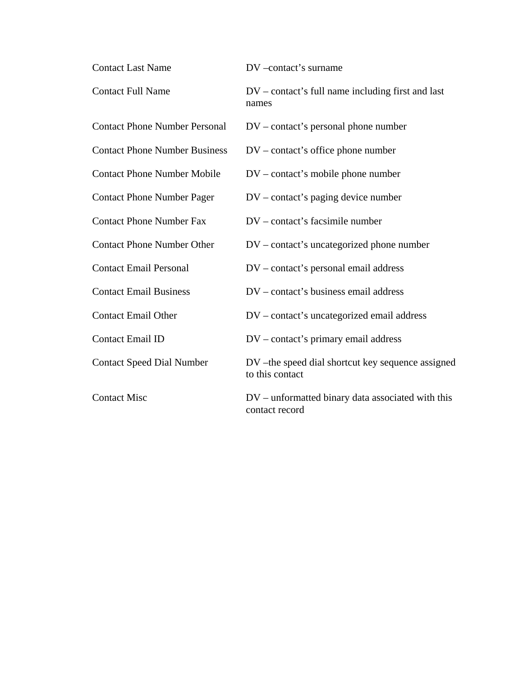| <b>Contact Last Name</b>             | DV-contact's surname                                                |
|--------------------------------------|---------------------------------------------------------------------|
| <b>Contact Full Name</b>             | $DV$ – contact's full name including first and last<br>names        |
| <b>Contact Phone Number Personal</b> | $DV$ – contact's personal phone number                              |
| <b>Contact Phone Number Business</b> | $DV$ – contact's office phone number                                |
| <b>Contact Phone Number Mobile</b>   | $DV$ – contact's mobile phone number                                |
| <b>Contact Phone Number Pager</b>    | $DV$ – contact's paging device number                               |
| <b>Contact Phone Number Fax</b>      | DV – contact's facsimile number                                     |
| <b>Contact Phone Number Other</b>    | $DV$ – contact's uncategorized phone number                         |
| <b>Contact Email Personal</b>        | DV – contact's personal email address                               |
| <b>Contact Email Business</b>        | DV – contact's business email address                               |
| <b>Contact Email Other</b>           | DV – contact's uncategorized email address                          |
| <b>Contact Email ID</b>              | $DV$ – contact's primary email address                              |
| <b>Contact Speed Dial Number</b>     | DV-the speed dial shortcut key sequence assigned<br>to this contact |
| <b>Contact Misc</b>                  | DV – unformatted binary data associated with this<br>contact record |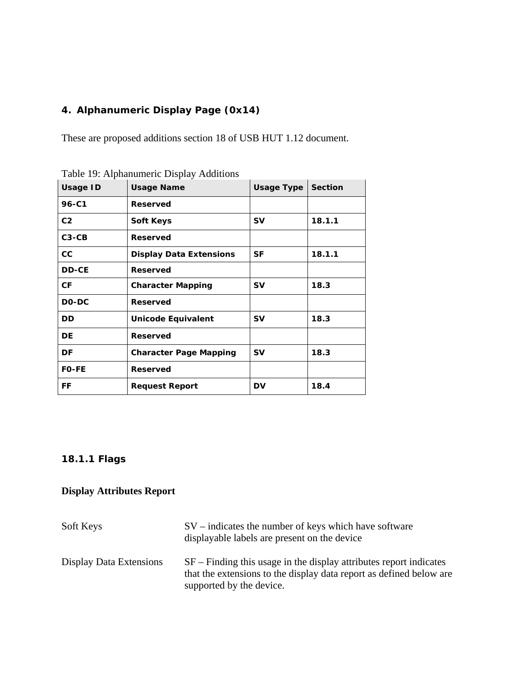## **4. Alphanumeric Display Page (0x14)**

These are proposed additions section 18 of USB HUT 1.12 document.

| <b>Usage ID</b> | <b>Usage Name</b>              | Usage Type | <b>Section</b> |
|-----------------|--------------------------------|------------|----------------|
| 96-C1           | <b>Reserved</b>                |            |                |
| C <sub>2</sub>  | <b>Soft Keys</b>               | <b>SV</b>  | 18.1.1         |
| $C3-CB$         | <b>Reserved</b>                |            |                |
| cc              | <b>Display Data Extensions</b> | SF         | 18.1.1         |
| <b>DD-CE</b>    | <b>Reserved</b>                |            |                |
| СF              | <b>Character Mapping</b>       | <b>SV</b>  | 18.3           |
| DO-DC           | <b>Reserved</b>                |            |                |
| <b>DD</b>       | <b>Unicode Equivalent</b>      | <b>SV</b>  | 18.3           |
| DE.             | <b>Reserved</b>                |            |                |
| DF              | <b>Character Page Mapping</b>  | <b>SV</b>  | 18.3           |
| <b>FO-FE</b>    | <b>Reserved</b>                |            |                |
| FF              | <b>Request Report</b>          | DV         | 18.4           |

Table 19: Alphanumeric Display Additions

## **18.1.1 Flags**

## **Display Attributes Report**

| Soft Keys               | $SV$ – indicates the number of keys which have software<br>displayable labels are present on the device                                                                 |
|-------------------------|-------------------------------------------------------------------------------------------------------------------------------------------------------------------------|
| Display Data Extensions | $SF$ – Finding this usage in the display attributes report indicates<br>that the extensions to the display data report as defined below are<br>supported by the device. |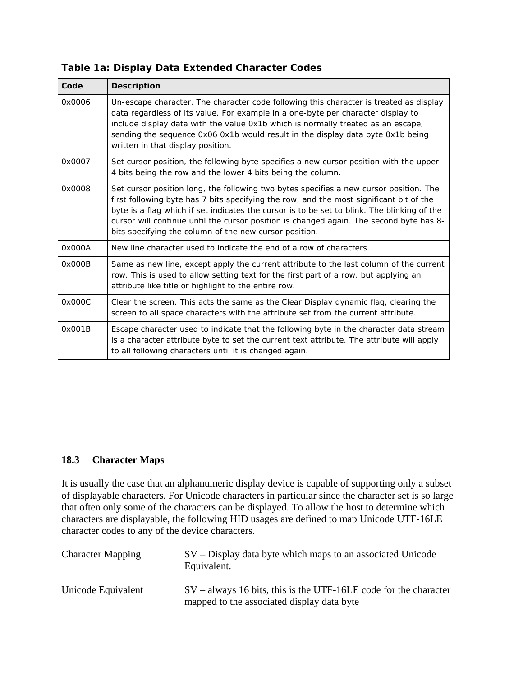| Code   | <b>Description</b>                                                                                                                                                                                                                                                                                                                                                                                                                    |
|--------|---------------------------------------------------------------------------------------------------------------------------------------------------------------------------------------------------------------------------------------------------------------------------------------------------------------------------------------------------------------------------------------------------------------------------------------|
| 0x0006 | Un-escape character. The character code following this character is treated as display<br>data regardless of its value. For example in a one-byte per character display to<br>include display data with the value 0x1b which is normally treated as an escape,<br>sending the sequence 0x06 0x1b would result in the display data byte 0x1b being<br>written in that display position.                                                |
| 0x0007 | Set cursor position, the following byte specifies a new cursor position with the upper<br>4 bits being the row and the lower 4 bits being the column.                                                                                                                                                                                                                                                                                 |
| 0x0008 | Set cursor position long, the following two bytes specifies a new cursor position. The<br>first following byte has 7 bits specifying the row, and the most significant bit of the<br>byte is a flag which if set indicates the cursor is to be set to blink. The blinking of the<br>cursor will continue until the cursor position is changed again. The second byte has 8-<br>bits specifying the column of the new cursor position. |
| 0x000A | New line character used to indicate the end of a row of characters.                                                                                                                                                                                                                                                                                                                                                                   |
| 0x000B | Same as new line, except apply the current attribute to the last column of the current<br>row. This is used to allow setting text for the first part of a row, but applying an<br>attribute like title or highlight to the entire row.                                                                                                                                                                                                |
| 0x000C | Clear the screen. This acts the same as the Clear Display dynamic flag, clearing the<br>screen to all space characters with the attribute set from the current attribute.                                                                                                                                                                                                                                                             |
| 0x001B | Escape character used to indicate that the following byte in the character data stream<br>is a character attribute byte to set the current text attribute. The attribute will apply<br>to all following characters until it is changed again.                                                                                                                                                                                         |

### **Table 1a: Display Data Extended Character Codes**

### **18.3 Character Maps**

It is usually the case that an alphanumeric display device is capable of supporting only a subset of displayable characters. For Unicode characters in particular since the character set is so large that often only some of the characters can be displayed. To allow the host to determine which characters are displayable, the following HID usages are defined to map Unicode UTF-16LE character codes to any of the device characters.

| <b>Character Mapping</b> | $SV$ – Display data byte which maps to an associated Unicode<br>Equivalent.                                      |
|--------------------------|------------------------------------------------------------------------------------------------------------------|
| Unicode Equivalent       | $SV$ – always 16 bits, this is the UTF-16LE code for the character<br>mapped to the associated display data byte |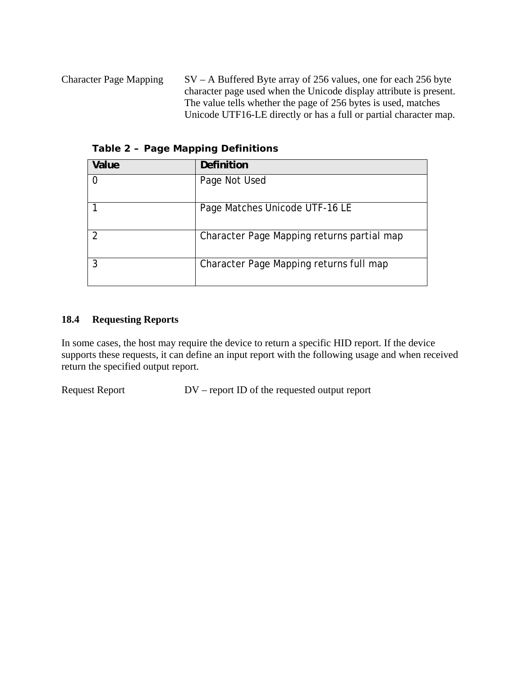Character Page Mapping SV – A Buffered Byte array of 256 values, one for each 256 byte character page used when the Unicode display attribute is present. The value tells whether the page of 256 bytes is used, matches Unicode UTF16-LE directly or has a full or partial character map.

| Value          | Definition                                 |
|----------------|--------------------------------------------|
| 0              | Page Not Used                              |
|                | Page Matches Unicode UTF-16 LE             |
| $\overline{2}$ | Character Page Mapping returns partial map |
| 3              | Character Page Mapping returns full map    |

**Table 2 – Page Mapping Definitions** 

## **18.4 Requesting Reports**

In some cases, the host may require the device to return a specific HID report. If the device supports these requests, it can define an input report with the following usage and when received return the specified output report.

Request Report DV – report ID of the requested output report